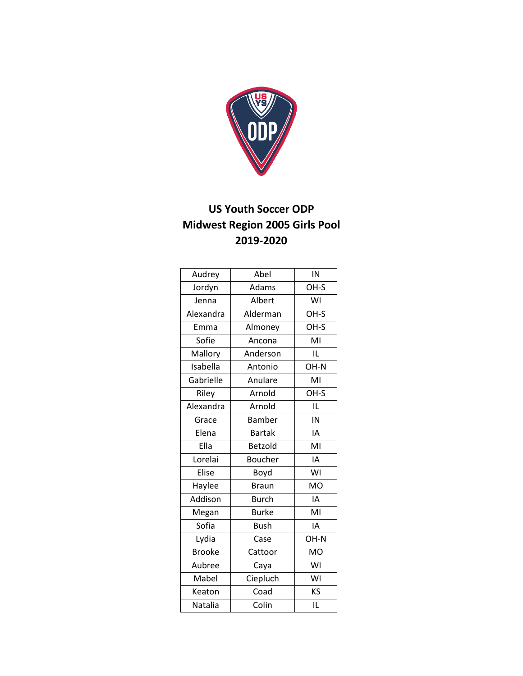

## **US Youth Soccer ODP Midwest Region 2005 Girls Pool 2019-2020**

| Audrey        | Abel           | IN        |
|---------------|----------------|-----------|
| Jordyn        | Adams          | OH-S      |
| Jenna         | Albert         | WI        |
| Alexandra     | Alderman       | OH-S      |
| Emma          | Almoney        | OH-S      |
| Sofie         | Ancona         | MI        |
| Mallory       | Anderson       | IL        |
| Isabella      | Antonio        | OH-N      |
| Gabrielle     | Anulare        | MI        |
| Riley         | Arnold         | OH-S      |
| Alexandra     | Arnold         | IL        |
| Grace         | <b>Bamber</b>  | IN        |
| Elena         | <b>Bartak</b>  | IA        |
| Ella          | Betzold        | MI        |
| Lorelai       | <b>Boucher</b> | IA        |
| Elise         | Boyd           | WI        |
| Haylee        | <b>Braun</b>   | <b>MO</b> |
| Addison       | <b>Burch</b>   | IA        |
| Megan         | <b>Burke</b>   | MI        |
| Sofia         | <b>Bush</b>    | IA        |
| Lydia         | Case           | OH-N      |
| <b>Brooke</b> | Cattoor        | <b>MO</b> |
| Aubree        | Caya           | WI        |
| Mabel         | Ciepluch       | WI        |
| Keaton        | Coad           | KS        |
| Natalia       | Colin          | IL        |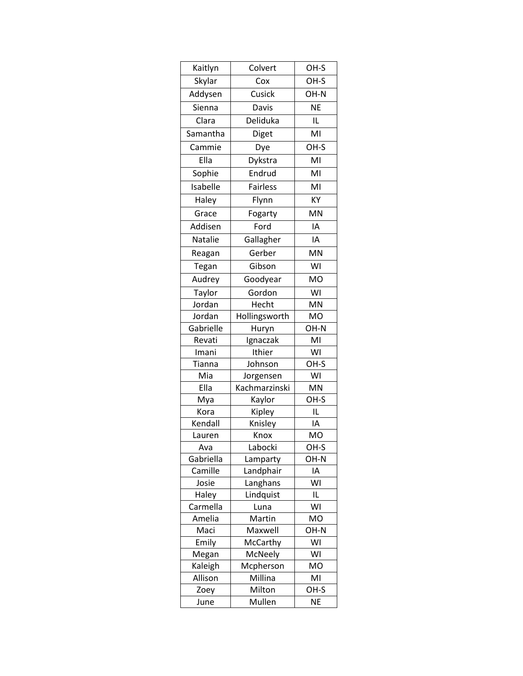| Kaitlyn       | Colvert             | OH-S       |
|---------------|---------------------|------------|
| Skylar        | Cox                 | OH-S       |
| Addysen       | Cusick              | OH-N       |
| Sienna        | Davis               | <b>NE</b>  |
| Clara         | Deliduka            | IL         |
| Samantha      | Diget               | MI         |
| Cammie        | Dye                 | OH-S       |
| Ella          | Dykstra             | MI         |
| Sophie        | Endrud              | MI         |
| Isabelle      | <b>Fairless</b>     | MI         |
|               |                     |            |
| Haley         | Flynn               | KY         |
| Grace         | Fogarty             | MN         |
| Addisen       | Ford                | IA         |
| Natalie       | Gallagher           | IΑ         |
| Reagan        | Gerber              | <b>MN</b>  |
| Tegan         | Gibson              | WI         |
| Audrey        | Goodyear            | <b>MO</b>  |
| Taylor        | Gordon              | WI         |
| Jordan        | Hecht               | MN         |
| Jordan        | Hollingsworth       | <b>MO</b>  |
| Gabrielle     | Huryn               | OH-N       |
| Revati        | Ignaczak            | MI         |
| Imani         | Ithier              | WI         |
| Tianna        | Johnson             | OH-S       |
| Mia           | Jorgensen           | WI         |
| Ella          | Kachmarzinski       | MN         |
| Mya           | Kaylor              | OH-S       |
| Kora          | Kipley              | IL         |
| Kendall       | Knisley             | IΑ         |
| Lauren        | Knox                | MO         |
| Ava           | Labocki             | OH-S       |
| Gabriella     | Lamparty            | OH-N       |
| Camille       | Landphair           | ΙA         |
| Josie         | Langhans            | WI         |
| Haley         | Lindquist           | IL         |
| Carmella      | Luna                | WI         |
| Amelia        | Martin              | <b>MO</b>  |
| Maci<br>Emily | Maxwell             | OH-N<br>WI |
| Megan         | McCarthy<br>McNeely | WI         |
| Kaleigh       | Mcpherson           | MO         |
| Allison       | Millina             | MI         |
| Zoey          | Milton              | OH-S       |
| June          | Mullen              | <b>NE</b>  |
|               |                     |            |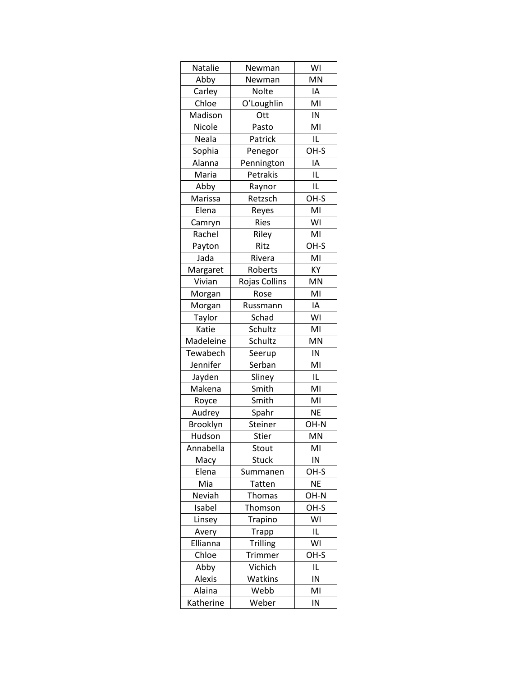| MN<br>Abby<br>Newman<br>IA<br>Carley<br>Nolte<br>MI<br>O'Loughlin<br>Chloe<br>Madison<br>IN<br>Ott<br>MI<br>Nicole<br>Pasto<br>IL<br>Neala<br>Patrick<br>OH-S<br>Sophia<br>Penegor<br>Pennington<br>ΙA<br>Alanna<br>IL<br>Maria<br>Petrakis<br>IL<br>Abby<br>Raynor<br>Marissa<br>Retzsch<br>OH-S<br>MI<br>Elena<br>Reyes<br>WI<br>Camryn<br><b>Ries</b><br>Rachel<br>MI<br>Riley<br>Ritz<br>OH-S<br>Payton<br>MI<br>Jada<br>Rivera<br>KY<br>Margaret<br>Roberts<br>Rojas Collins<br>Vivian<br>MN<br>MI<br>Morgan<br>Rose<br>IA<br>Morgan<br>Russmann<br>WI<br>Taylor<br>Schad<br>Schultz<br>MI<br>Katie<br>Madeleine<br>MN<br>Schultz<br>Tewabech<br>IN<br>Seerup<br>Jennifer<br>MI<br>Serban<br>Jayden<br>IL<br>Sliney<br>MI<br>Makena<br>Smith<br>MI<br>Smith<br>Royce<br>Spahr<br><b>NE</b><br>Audrey<br>Brooklyn<br>Steiner<br>OH-N<br>MN<br>Hudson<br>Stier<br>Annabella<br>MI<br>Stout<br>IN<br><b>Stuck</b><br>Macy<br>Elena<br>OH-S<br>Summanen<br>Mia<br><b>NE</b><br>Tatten<br>Neviah<br><b>Thomas</b><br>OH-N<br>OH-S<br>Isabel<br>Thomson<br>WI<br>Linsey<br>Trapino<br>Trapp<br>IL<br>Avery<br>WI<br>Ellianna<br><b>Trilling</b><br>Chloe<br>OH-S<br><b>Trimmer</b><br>Vichich<br>Abby<br>IL<br>Alexis<br>Watkins<br>IN<br>Webb<br>MI<br>Alaina |           |        |    |
|---------------------------------------------------------------------------------------------------------------------------------------------------------------------------------------------------------------------------------------------------------------------------------------------------------------------------------------------------------------------------------------------------------------------------------------------------------------------------------------------------------------------------------------------------------------------------------------------------------------------------------------------------------------------------------------------------------------------------------------------------------------------------------------------------------------------------------------------------------------------------------------------------------------------------------------------------------------------------------------------------------------------------------------------------------------------------------------------------------------------------------------------------------------------------------------------------------------------------------------------------------------|-----------|--------|----|
|                                                                                                                                                                                                                                                                                                                                                                                                                                                                                                                                                                                                                                                                                                                                                                                                                                                                                                                                                                                                                                                                                                                                                                                                                                                               | Natalie   | Newman | WI |
|                                                                                                                                                                                                                                                                                                                                                                                                                                                                                                                                                                                                                                                                                                                                                                                                                                                                                                                                                                                                                                                                                                                                                                                                                                                               |           |        |    |
|                                                                                                                                                                                                                                                                                                                                                                                                                                                                                                                                                                                                                                                                                                                                                                                                                                                                                                                                                                                                                                                                                                                                                                                                                                                               |           |        |    |
|                                                                                                                                                                                                                                                                                                                                                                                                                                                                                                                                                                                                                                                                                                                                                                                                                                                                                                                                                                                                                                                                                                                                                                                                                                                               |           |        |    |
|                                                                                                                                                                                                                                                                                                                                                                                                                                                                                                                                                                                                                                                                                                                                                                                                                                                                                                                                                                                                                                                                                                                                                                                                                                                               |           |        |    |
|                                                                                                                                                                                                                                                                                                                                                                                                                                                                                                                                                                                                                                                                                                                                                                                                                                                                                                                                                                                                                                                                                                                                                                                                                                                               |           |        |    |
|                                                                                                                                                                                                                                                                                                                                                                                                                                                                                                                                                                                                                                                                                                                                                                                                                                                                                                                                                                                                                                                                                                                                                                                                                                                               |           |        |    |
|                                                                                                                                                                                                                                                                                                                                                                                                                                                                                                                                                                                                                                                                                                                                                                                                                                                                                                                                                                                                                                                                                                                                                                                                                                                               |           |        |    |
|                                                                                                                                                                                                                                                                                                                                                                                                                                                                                                                                                                                                                                                                                                                                                                                                                                                                                                                                                                                                                                                                                                                                                                                                                                                               |           |        |    |
|                                                                                                                                                                                                                                                                                                                                                                                                                                                                                                                                                                                                                                                                                                                                                                                                                                                                                                                                                                                                                                                                                                                                                                                                                                                               |           |        |    |
|                                                                                                                                                                                                                                                                                                                                                                                                                                                                                                                                                                                                                                                                                                                                                                                                                                                                                                                                                                                                                                                                                                                                                                                                                                                               |           |        |    |
|                                                                                                                                                                                                                                                                                                                                                                                                                                                                                                                                                                                                                                                                                                                                                                                                                                                                                                                                                                                                                                                                                                                                                                                                                                                               |           |        |    |
|                                                                                                                                                                                                                                                                                                                                                                                                                                                                                                                                                                                                                                                                                                                                                                                                                                                                                                                                                                                                                                                                                                                                                                                                                                                               |           |        |    |
|                                                                                                                                                                                                                                                                                                                                                                                                                                                                                                                                                                                                                                                                                                                                                                                                                                                                                                                                                                                                                                                                                                                                                                                                                                                               |           |        |    |
|                                                                                                                                                                                                                                                                                                                                                                                                                                                                                                                                                                                                                                                                                                                                                                                                                                                                                                                                                                                                                                                                                                                                                                                                                                                               |           |        |    |
|                                                                                                                                                                                                                                                                                                                                                                                                                                                                                                                                                                                                                                                                                                                                                                                                                                                                                                                                                                                                                                                                                                                                                                                                                                                               |           |        |    |
|                                                                                                                                                                                                                                                                                                                                                                                                                                                                                                                                                                                                                                                                                                                                                                                                                                                                                                                                                                                                                                                                                                                                                                                                                                                               |           |        |    |
|                                                                                                                                                                                                                                                                                                                                                                                                                                                                                                                                                                                                                                                                                                                                                                                                                                                                                                                                                                                                                                                                                                                                                                                                                                                               |           |        |    |
|                                                                                                                                                                                                                                                                                                                                                                                                                                                                                                                                                                                                                                                                                                                                                                                                                                                                                                                                                                                                                                                                                                                                                                                                                                                               |           |        |    |
|                                                                                                                                                                                                                                                                                                                                                                                                                                                                                                                                                                                                                                                                                                                                                                                                                                                                                                                                                                                                                                                                                                                                                                                                                                                               |           |        |    |
|                                                                                                                                                                                                                                                                                                                                                                                                                                                                                                                                                                                                                                                                                                                                                                                                                                                                                                                                                                                                                                                                                                                                                                                                                                                               |           |        |    |
|                                                                                                                                                                                                                                                                                                                                                                                                                                                                                                                                                                                                                                                                                                                                                                                                                                                                                                                                                                                                                                                                                                                                                                                                                                                               |           |        |    |
|                                                                                                                                                                                                                                                                                                                                                                                                                                                                                                                                                                                                                                                                                                                                                                                                                                                                                                                                                                                                                                                                                                                                                                                                                                                               |           |        |    |
|                                                                                                                                                                                                                                                                                                                                                                                                                                                                                                                                                                                                                                                                                                                                                                                                                                                                                                                                                                                                                                                                                                                                                                                                                                                               |           |        |    |
|                                                                                                                                                                                                                                                                                                                                                                                                                                                                                                                                                                                                                                                                                                                                                                                                                                                                                                                                                                                                                                                                                                                                                                                                                                                               |           |        |    |
|                                                                                                                                                                                                                                                                                                                                                                                                                                                                                                                                                                                                                                                                                                                                                                                                                                                                                                                                                                                                                                                                                                                                                                                                                                                               |           |        |    |
|                                                                                                                                                                                                                                                                                                                                                                                                                                                                                                                                                                                                                                                                                                                                                                                                                                                                                                                                                                                                                                                                                                                                                                                                                                                               |           |        |    |
|                                                                                                                                                                                                                                                                                                                                                                                                                                                                                                                                                                                                                                                                                                                                                                                                                                                                                                                                                                                                                                                                                                                                                                                                                                                               |           |        |    |
|                                                                                                                                                                                                                                                                                                                                                                                                                                                                                                                                                                                                                                                                                                                                                                                                                                                                                                                                                                                                                                                                                                                                                                                                                                                               |           |        |    |
|                                                                                                                                                                                                                                                                                                                                                                                                                                                                                                                                                                                                                                                                                                                                                                                                                                                                                                                                                                                                                                                                                                                                                                                                                                                               |           |        |    |
|                                                                                                                                                                                                                                                                                                                                                                                                                                                                                                                                                                                                                                                                                                                                                                                                                                                                                                                                                                                                                                                                                                                                                                                                                                                               |           |        |    |
|                                                                                                                                                                                                                                                                                                                                                                                                                                                                                                                                                                                                                                                                                                                                                                                                                                                                                                                                                                                                                                                                                                                                                                                                                                                               |           |        |    |
|                                                                                                                                                                                                                                                                                                                                                                                                                                                                                                                                                                                                                                                                                                                                                                                                                                                                                                                                                                                                                                                                                                                                                                                                                                                               |           |        |    |
|                                                                                                                                                                                                                                                                                                                                                                                                                                                                                                                                                                                                                                                                                                                                                                                                                                                                                                                                                                                                                                                                                                                                                                                                                                                               |           |        |    |
|                                                                                                                                                                                                                                                                                                                                                                                                                                                                                                                                                                                                                                                                                                                                                                                                                                                                                                                                                                                                                                                                                                                                                                                                                                                               |           |        |    |
|                                                                                                                                                                                                                                                                                                                                                                                                                                                                                                                                                                                                                                                                                                                                                                                                                                                                                                                                                                                                                                                                                                                                                                                                                                                               |           |        |    |
|                                                                                                                                                                                                                                                                                                                                                                                                                                                                                                                                                                                                                                                                                                                                                                                                                                                                                                                                                                                                                                                                                                                                                                                                                                                               |           |        |    |
|                                                                                                                                                                                                                                                                                                                                                                                                                                                                                                                                                                                                                                                                                                                                                                                                                                                                                                                                                                                                                                                                                                                                                                                                                                                               |           |        |    |
|                                                                                                                                                                                                                                                                                                                                                                                                                                                                                                                                                                                                                                                                                                                                                                                                                                                                                                                                                                                                                                                                                                                                                                                                                                                               |           |        |    |
|                                                                                                                                                                                                                                                                                                                                                                                                                                                                                                                                                                                                                                                                                                                                                                                                                                                                                                                                                                                                                                                                                                                                                                                                                                                               |           |        |    |
|                                                                                                                                                                                                                                                                                                                                                                                                                                                                                                                                                                                                                                                                                                                                                                                                                                                                                                                                                                                                                                                                                                                                                                                                                                                               |           |        |    |
|                                                                                                                                                                                                                                                                                                                                                                                                                                                                                                                                                                                                                                                                                                                                                                                                                                                                                                                                                                                                                                                                                                                                                                                                                                                               |           |        |    |
|                                                                                                                                                                                                                                                                                                                                                                                                                                                                                                                                                                                                                                                                                                                                                                                                                                                                                                                                                                                                                                                                                                                                                                                                                                                               |           |        |    |
|                                                                                                                                                                                                                                                                                                                                                                                                                                                                                                                                                                                                                                                                                                                                                                                                                                                                                                                                                                                                                                                                                                                                                                                                                                                               |           |        |    |
|                                                                                                                                                                                                                                                                                                                                                                                                                                                                                                                                                                                                                                                                                                                                                                                                                                                                                                                                                                                                                                                                                                                                                                                                                                                               |           |        |    |
|                                                                                                                                                                                                                                                                                                                                                                                                                                                                                                                                                                                                                                                                                                                                                                                                                                                                                                                                                                                                                                                                                                                                                                                                                                                               | Katherine | Weber  | IN |